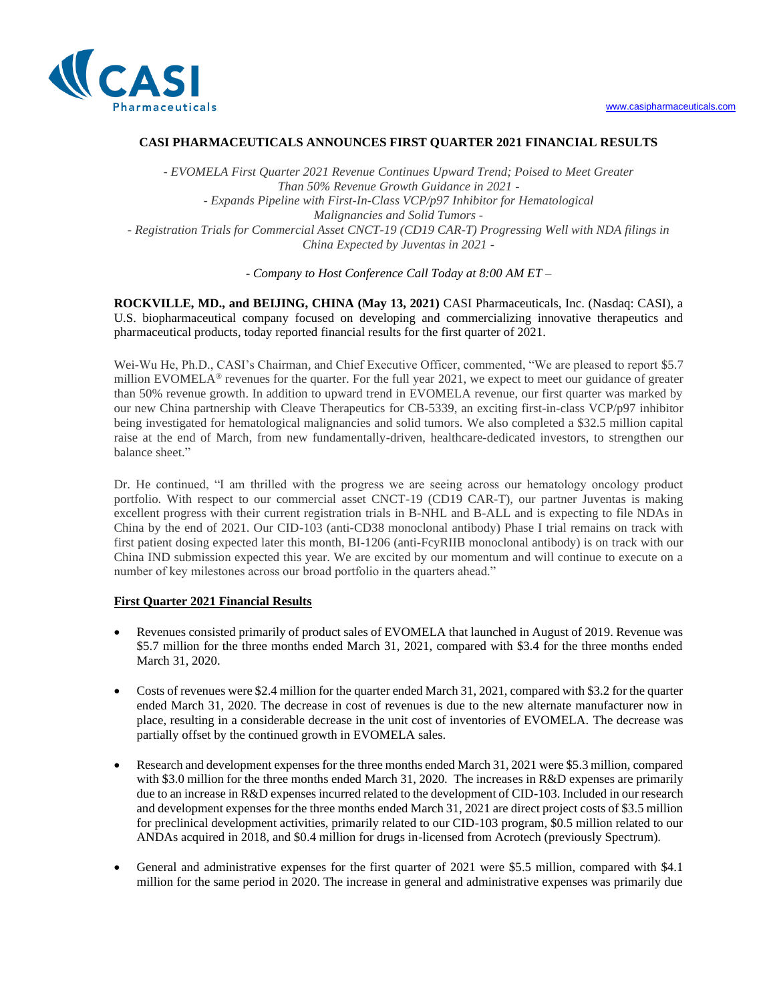

# **CASI PHARMACEUTICALS ANNOUNCES FIRST QUARTER 2021 FINANCIAL RESULTS**

*- EVOMELA First Quarter 2021 Revenue Continues Upward Trend; Poised to Meet Greater Than 50% Revenue Growth Guidance in 2021 - - Expands Pipeline with First-In-Class VCP/p97 Inhibitor for Hematological Malignancies and Solid Tumors - - Registration Trials for Commercial Asset CNCT-19 (CD19 CAR-T) Progressing Well with NDA filings in China Expected by Juventas in 2021 -* 

*- Company to Host Conference Call Today at 8:00 AM ET –*

**ROCKVILLE, MD., and BEIJING, CHINA (May 13, 2021)** CASI Pharmaceuticals, Inc. (Nasdaq: CASI), a U.S. biopharmaceutical company focused on developing and commercializing innovative therapeutics and pharmaceutical products, today reported financial results for the first quarter of 2021.

Wei-Wu He, Ph.D., CASI's Chairman, and Chief Executive Officer, commented, "We are pleased to report \$5.7 million EVOMELA<sup>®</sup> revenues for the quarter. For the full year 2021, we expect to meet our guidance of greater than 50% revenue growth. In addition to upward trend in EVOMELA revenue, our first quarter was marked by our new China partnership with Cleave Therapeutics for CB-5339, an exciting first-in-class VCP/p97 inhibitor being investigated for hematological malignancies and solid tumors. We also completed a \$32.5 million capital raise at the end of March, from new fundamentally-driven, healthcare-dedicated investors, to strengthen our balance sheet."

Dr. He continued, "I am thrilled with the progress we are seeing across our hematology oncology product portfolio. With respect to our commercial asset CNCT-19 (CD19 CAR-T), our partner Juventas is making excellent progress with their current registration trials in B-NHL and B-ALL and is expecting to file NDAs in China by the end of 2021. Our CID-103 (anti-CD38 monoclonal antibody) Phase I trial remains on track with first patient dosing expected later this month, BI-1206 (anti-FcyRIIB monoclonal antibody) is on track with our China IND submission expected this year. We are excited by our momentum and will continue to execute on a number of key milestones across our broad portfolio in the quarters ahead."

# **First Quarter 2021 Financial Results**

- Revenues consisted primarily of product sales of EVOMELA that launched in August of 2019. Revenue was \$5.7 million for the three [months ended March 31, 2021, c](https://c212.net/c/link/?t=0&l=en&o=2974776-1&h=3864593790&u=http%3A%2F%2Fwww.casipharmaceuticals.com%2F&a=www.casipharmaceuticals.com)ompared with \$3.4 for the three months ended March 31, 2020.
- Costs of revenues were \$2.4 million for the quarter ended March 31, 2021, compared with \$3.2 for the quarter ended March 31, 2020. The decrease in cost of revenues is due to the new alternate manufacturer now in place, resulting in a considerable decrease in the unit cost of inventories of EVOMELA. The decrease was partially offset by the continued growth in EVOMELA sales.
- Research and development expenses for the three months ended March 31, 2021 were \$5.3 million, compared with \$3.0 million for the three months ended March 31, 2020. The increases in R&D expenses are primarily due to an increase in R&D expenses incurred related to the development of CID-103. Included in our research and development expenses for the three months ended March 31, 2021 are direct project costs of \$3.5 million for preclinical development activities, primarily related to our CID-103 program, \$0.5 million related to our ANDAs acquired in 2018, and \$0.4 million for drugs in-licensed from Acrotech (previously Spectrum).
- General and administrative expenses for the first quarter of 2021 were \$5.5 million, compared with \$4.1 million for the same period in 2020. The increase in general and administrative expenses was primarily due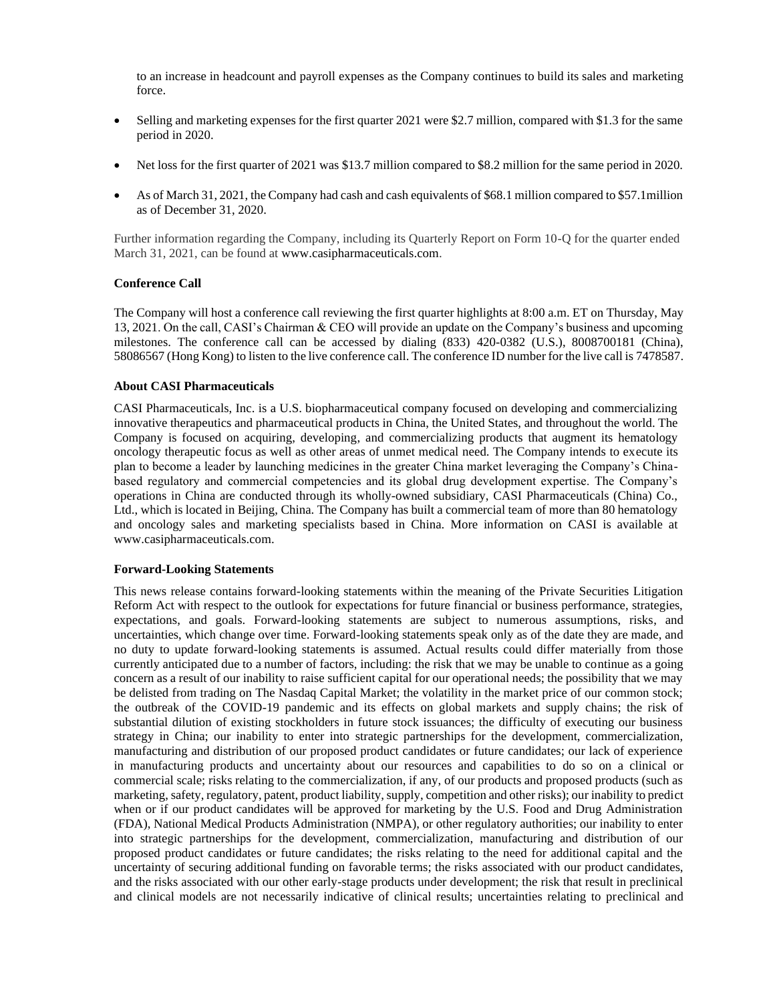to an increase in headcount and payroll expenses as the Company continues to build its sales and marketing force.

- Selling and marketing expenses for the first quarter 2021 were \$2.7 million, compared with \$1.3 for the same period in 2020.
- Net loss for the first quarter of 2021 was \$13.7 million compared to \$8.2 million for the same period in 2020.
- As of March 31, 2021, the Company had cash and cash equivalents of \$68.1 million compared to \$57.1 million as of December 31, 2020.

Further information regarding the Company, including its Quarterly Report on Form 10-Q for the quarter ended March 31, 2021, can be found at www.casipharmaceuticals.com.

### **Conference Call**

The Company will host a conference call reviewing the first quarter highlights at 8:00 a.m. ET on Thursday, May 13, 2021. On the call, CASI's Chairman & CEO will provide an update on the Company's business and upcoming milestones. The conference call can be accessed by dialing (833) 420-0382 (U.S.), 8008700181 (China), 58086567 (Hong Kong) to listen to the live conference call. The conference ID number for the live call is 7478587.

### **About CASI Pharmaceuticals**

CASI Pharmaceuticals, Inc. is a U.S. biopharmaceutical company focused on developing and commercializing innovative therapeutics and pharmaceutical products in China, the United States, and throughout the world. The Company is focused on acquiring, developing, and commercializing products that augment its hematology oncology therapeutic focus as well as other areas of unmet medical need. The Company intends to execute its plan to become a leader by launching medicines in the greater China market leveraging the Company's Chinabased regulatory and commercial competencies and its global drug development expertise. The Company's operations in China are conducted through its wholly-owned subsidiary, CASI Pharmaceuticals (China) Co., Ltd., which is located in Beijing, China. The Company has built a commercial team of more than 80 hematology and oncology sales and marketing specialists based in China. More information on CASI is available at www.casipharmaceuticals.com.

### **[Forward-Looking Statements](http://www.casipharmaceuticals.com/)**

This news release contains forward-looking statements within the meaning of the Private Securities Litigation Reform Act with respect to the outlook for expectations for future financial or business performance, strategies, expectations, and goals. Forward-looking statements are subject to numerous assumptions, risks, and uncertainties, which change over time. Forward-looking statements speak only as of the date they are made, and no duty to update forward-looking statements is assumed. Actual results could differ materially from those currently anticipated due to a number of factors, including: the risk that we may be unable to continue as a going concern as a result of our inability to raise sufficient capital for our operational needs; the possibility that we may be delisted from trading on The Nasdaq Capital Market; the volatility in the market price of our common stock; the outbreak of the COVID-19 pandemic and its effects on global markets and supply chains; the risk of substantial dilution of existing stockholders in future stock issuances; the difficulty of executing our business strategy in China; our inability to enter into strategic partnerships for the development, commercialization, manufacturing and distribution of our proposed product candidates or future candidates; our lack of experience in manufacturing products and uncertainty about our resources and capabilities to do so on a clinical or commercial scale; risks relating to the commercialization, if any, of our products and proposed products (such as marketing, safety, regulatory, patent, product liability, supply, competition and other risks); our inability to predict when or if our product candidates will be approved for marketing by the U.S. Food and Drug Administration (FDA), National Medical Products Administration (NMPA), or other regulatory authorities; our inability to enter into strategic partnerships for the development, commercialization, manufacturing and distribution of our proposed product candidates or future candidates; the risks relating to the need for additional capital and the uncertainty of securing additional funding on favorable terms; the risks associated with our product candidates, and the risks associated with our other early-stage products under development; the risk that result in preclinical and clinical models are not necessarily indicative of clinical results; uncertainties relating to preclinical and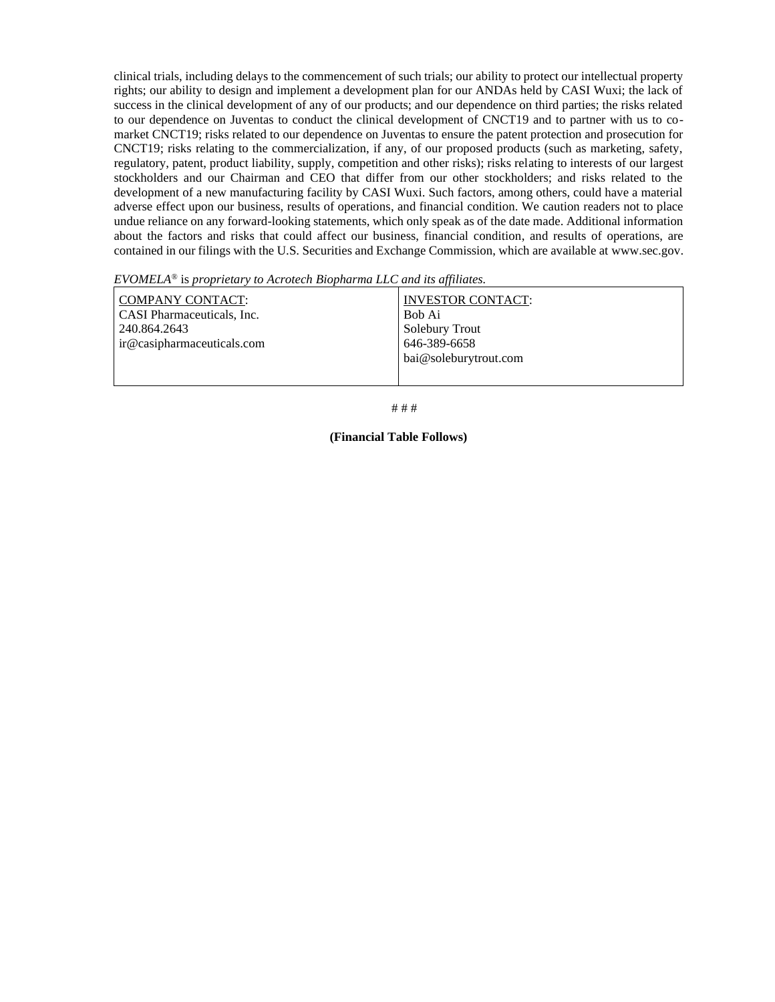clinical trials, including delays to the commencement of such trials; our ability to protect our intellectual property rights; our ability to design and implement a development plan for our ANDAs held by CASI Wuxi; the lack of success in the clinical development of any of our products; and our dependence on third parties; the risks related to our dependence on Juventas to conduct the clinical development of CNCT19 and to partner with us to comarket CNCT19; risks related to our dependence on Juventas to ensure the patent protection and prosecution for CNCT19; risks relating to the commercialization, if any, of our proposed products (such as marketing, safety, regulatory, patent, product liability, supply, competition and other risks); risks relating to interests of our largest stockholders and our Chairman and CEO that differ from our other stockholders; and risks related to the development of a new manufacturing facility by CASI Wuxi. Such factors, among others, could have a material adverse effect upon our business, results of operations, and financial condition. We caution readers not to place undue reliance on any forward-looking statements, which only speak as of the date made. Additional information about the factors and risks that could affect our business, financial condition, and results of operations, are contained in our filings with the U.S. Securities and Exchange Commission, which are available at www.sec.gov.

*EVOMELA*® is *proprietary to Acrotech Biopharma LLC and its affiliates.*

| COMPANY CONTACT:                  | <b>INVESTOR CONTACT:</b> |
|-----------------------------------|--------------------------|
| <b>CASI</b> Pharmaceuticals, Inc. | Bob Ai                   |
| 240.864.2643                      | Solebury Trout           |
| ir@casipharmaceuticals.com        | 646-389-6658             |
|                                   | bai@soleburytrout.com    |
|                                   |                          |

# # #

#### **(Financial Table Follows)**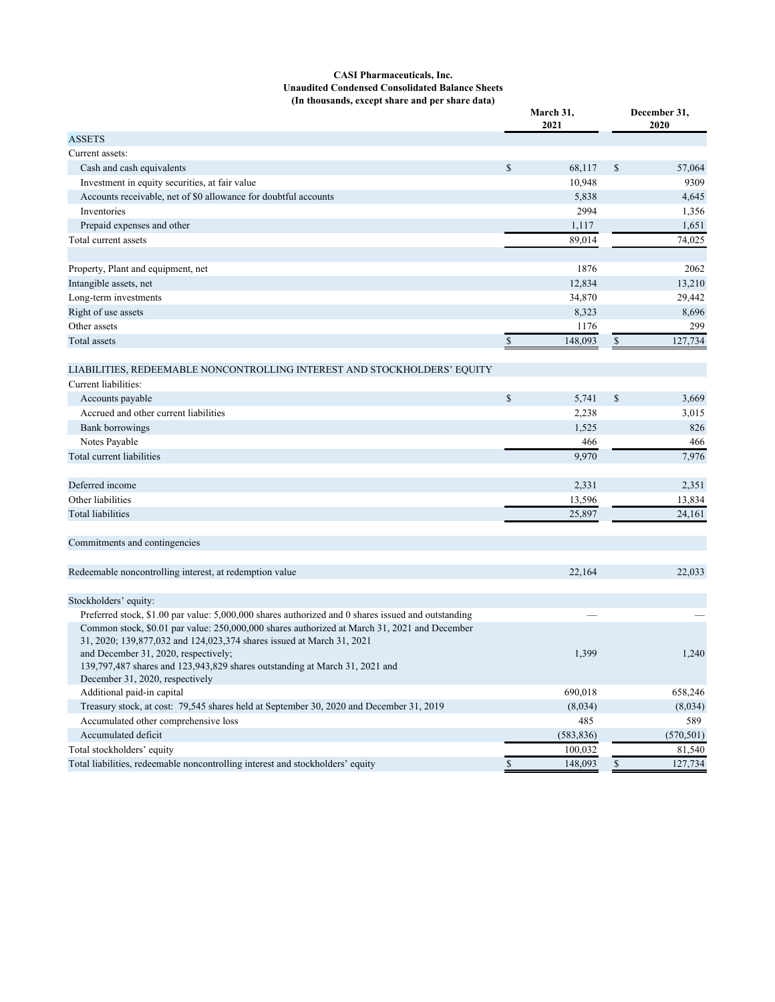#### **CASI Pharmaceuticals, Inc. Unaudited Condensed Consolidated Balance Sheets (In thousands, except share and per share data)**

| TH thousands, except share and per share data)                                                                                                                        |              | March 31,<br>2021 |               | December 31,<br>2020 |  |
|-----------------------------------------------------------------------------------------------------------------------------------------------------------------------|--------------|-------------------|---------------|----------------------|--|
| <b>ASSETS</b>                                                                                                                                                         |              |                   |               |                      |  |
| Current assets:                                                                                                                                                       |              |                   |               |                      |  |
| Cash and cash equivalents                                                                                                                                             | \$           | 68,117            | \$            | 57,064               |  |
| Investment in equity securities, at fair value                                                                                                                        |              | 10,948            |               | 9309                 |  |
| Accounts receivable, net of \$0 allowance for doubtful accounts                                                                                                       |              | 5,838             |               | 4,645                |  |
| Inventories                                                                                                                                                           |              | 2994              |               | 1,356                |  |
| Prepaid expenses and other                                                                                                                                            |              | 1,117             |               | 1,651                |  |
| Total current assets                                                                                                                                                  |              | 89,014            |               | 74,025               |  |
| Property, Plant and equipment, net                                                                                                                                    |              | 1876              |               | 2062                 |  |
| Intangible assets, net                                                                                                                                                |              | 12,834            |               | 13,210               |  |
| Long-term investments                                                                                                                                                 |              | 34,870            |               | 29,442               |  |
| Right of use assets                                                                                                                                                   |              | 8,323             |               | 8,696                |  |
| Other assets                                                                                                                                                          |              | 1176              |               | 299                  |  |
| Total assets                                                                                                                                                          | $\mathbb{S}$ | 148,093           | $\frac{1}{2}$ | 127,734              |  |
| LIABILITIES, REDEEMABLE NONCONTROLLING INTEREST AND STOCKHOLDERS' EQUITY                                                                                              |              |                   |               |                      |  |
| Current liabilities:                                                                                                                                                  |              |                   |               |                      |  |
| Accounts payable                                                                                                                                                      | $\mathbb{S}$ | 5,741             | \$            | 3,669                |  |
| Accrued and other current liabilities                                                                                                                                 |              | 2,238             |               | 3,015                |  |
| <b>Bank borrowings</b>                                                                                                                                                |              | 1,525             |               | 826                  |  |
| Notes Payable                                                                                                                                                         |              | 466               |               | 466                  |  |
| Total current liabilities                                                                                                                                             |              | 9,970             |               | 7,976                |  |
| Deferred income                                                                                                                                                       |              | 2,331             |               | 2,351                |  |
| Other liabilities                                                                                                                                                     |              |                   |               |                      |  |
|                                                                                                                                                                       |              | 13,596            |               | 13,834               |  |
| <b>Total liabilities</b>                                                                                                                                              |              | 25,897            |               | 24,161               |  |
| Commitments and contingencies                                                                                                                                         |              |                   |               |                      |  |
| Redeemable noncontrolling interest, at redemption value                                                                                                               |              | 22,164            |               | 22,033               |  |
| Stockholders' equity:                                                                                                                                                 |              |                   |               |                      |  |
| Preferred stock, \$1.00 par value: 5,000,000 shares authorized and 0 shares issued and outstanding                                                                    |              |                   |               |                      |  |
| Common stock, \$0.01 par value: 250,000,000 shares authorized at March 31, 2021 and December<br>31, 2020; 139,877,032 and 124,023,374 shares issued at March 31, 2021 |              |                   |               |                      |  |
| and December 31, 2020, respectively;<br>139,797,487 shares and 123,943,829 shares outstanding at March 31, 2021 and                                                   |              | 1,399             |               | 1,240                |  |
| December 31, 2020, respectively                                                                                                                                       |              |                   |               |                      |  |
| Additional paid-in capital                                                                                                                                            |              | 690,018           |               | 658,246              |  |
| Treasury stock, at cost: 79,545 shares held at September 30, 2020 and December 31, 2019                                                                               |              | (8,034)           |               | (8,034)              |  |
| Accumulated other comprehensive loss                                                                                                                                  |              | 485               |               | 589                  |  |
| Accumulated deficit                                                                                                                                                   |              | (583, 836)        |               | (570, 501)           |  |
| Total stockholders' equity                                                                                                                                            |              | 100,032           |               | 81,540               |  |
| Total liabilities, redeemable noncontrolling interest and stockholders' equity                                                                                        | $\mathbb{S}$ | 148,093           | $\mathbb S$   | 127,734              |  |